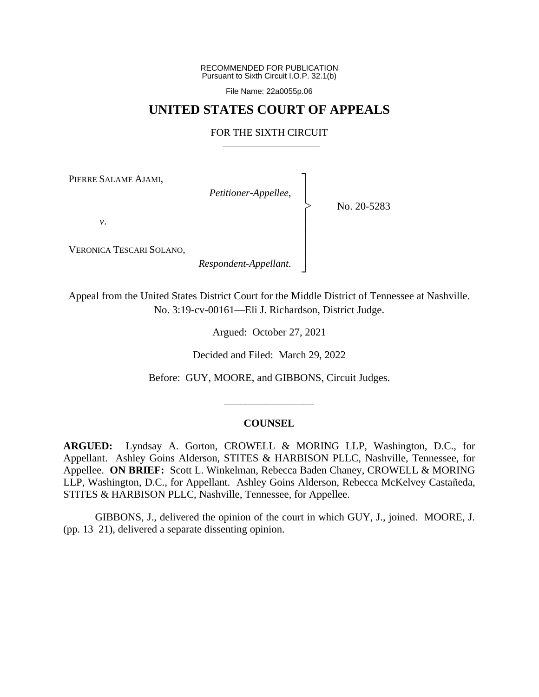RECOMMENDED FOR PUBLICATION Pursuant to Sixth Circuit I.O.P. 32.1(b)

File Name: 22a0055p.06

# **UNITED STATES COURT OF APPEALS**

# FOR THE SIXTH CIRCUIT

┐ │ │ │ │ │ │ │ ┘

|<br>|<br>|

PIERRE SALAME AJAMI,

*Petitioner-Appellee*,

No. 20-5283

*v*.

VERONICA TESCARI SOLANO,

*Respondent-Appellant*.

Appeal from the United States District Court for the Middle District of Tennessee at Nashville. No. 3:19-cv-00161—Eli J. Richardson, District Judge.

Argued: October 27, 2021

Decided and Filed: March 29, 2022

Before: GUY, MOORE, and GIBBONS, Circuit Judges.

\_\_\_\_\_\_\_\_\_\_\_\_\_\_\_\_\_

## **COUNSEL**

**ARGUED:** Lyndsay A. Gorton, CROWELL & MORING LLP, Washington, D.C., for Appellant. Ashley Goins Alderson, STITES & HARBISON PLLC, Nashville, Tennessee, for Appellee. **ON BRIEF:** Scott L. Winkelman, Rebecca Baden Chaney, CROWELL & MORING LLP, Washington, D.C., for Appellant. Ashley Goins Alderson, Rebecca McKelvey Castañeda, STITES & HARBISON PLLC, Nashville, Tennessee, for Appellee.

GIBBONS, J., delivered the opinion of the court in which GUY, J., joined. MOORE, J. (pp. 13–21), delivered a separate dissenting opinion.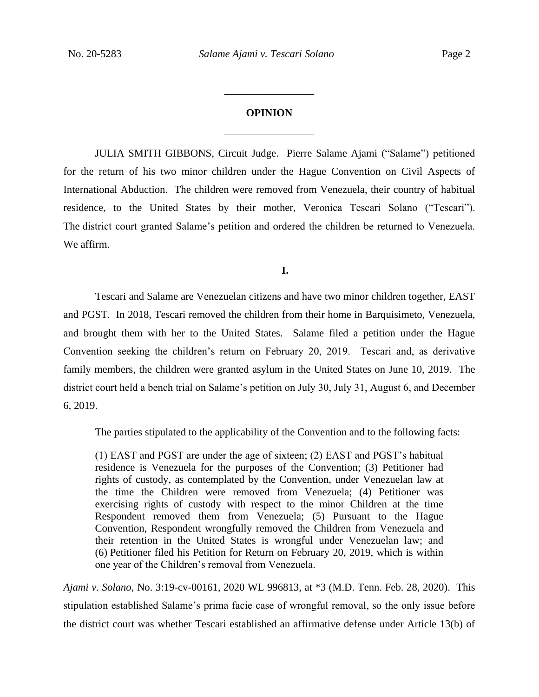# **OPINION** \_\_\_\_\_\_\_\_\_\_\_\_\_\_\_\_\_

\_\_\_\_\_\_\_\_\_\_\_\_\_\_\_\_\_

JULIA SMITH GIBBONS, Circuit Judge. Pierre Salame Ajami ("Salame") petitioned for the return of his two minor children under the Hague Convention on Civil Aspects of International Abduction. The children were removed from Venezuela, their country of habitual residence, to the United States by their mother, Veronica Tescari Solano ("Tescari"). The district court granted Salame's petition and ordered the children be returned to Venezuela. We affirm.

## **I.**

Tescari and Salame are Venezuelan citizens and have two minor children together, EAST and PGST. In 2018, Tescari removed the children from their home in Barquisimeto, Venezuela, and brought them with her to the United States. Salame filed a petition under the Hague Convention seeking the children's return on February 20, 2019. Tescari and, as derivative family members, the children were granted asylum in the United States on June 10, 2019. The district court held a bench trial on Salame's petition on July 30, July 31, August 6, and December 6, 2019.

The parties stipulated to the applicability of the Convention and to the following facts:

(1) EAST and PGST are under the age of sixteen; (2) EAST and PGST's habitual residence is Venezuela for the purposes of the Convention; (3) Petitioner had rights of custody, as contemplated by the Convention, under Venezuelan law at the time the Children were removed from Venezuela; (4) Petitioner was exercising rights of custody with respect to the minor Children at the time Respondent removed them from Venezuela; (5) Pursuant to the Hague Convention, Respondent wrongfully removed the Children from Venezuela and their retention in the United States is wrongful under Venezuelan law; and (6) Petitioner filed his Petition for Return on February 20, 2019, which is within one year of the Children's removal from Venezuela.

*Ajami v. Solano*, No. 3:19-cv-00161, 2020 WL 996813, at \*3 (M.D. Tenn. Feb. 28, 2020). This stipulation established Salame's prima facie case of wrongful removal, so the only issue before the district court was whether Tescari established an affirmative defense under Article 13(b) of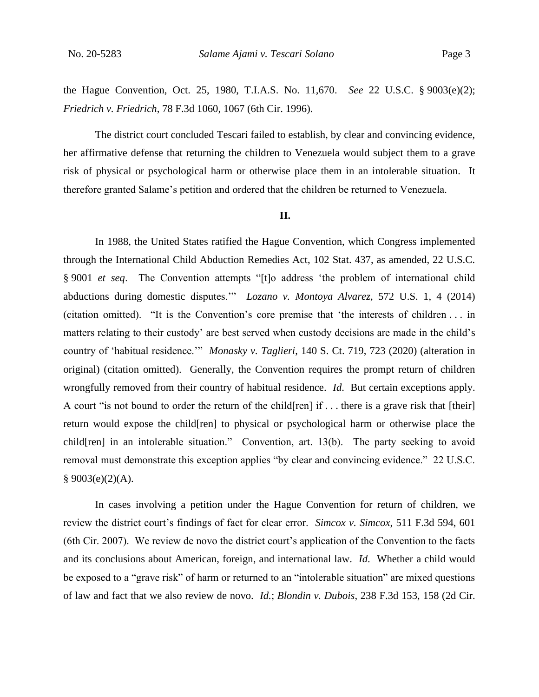the Hague Convention, Oct. 25, 1980, T.I.A.S. No. 11,670. *See* 22 U.S.C. § 9003(e)(2); *Friedrich v. Friedrich*, 78 F.3d 1060, 1067 (6th Cir. 1996).

The district court concluded Tescari failed to establish, by clear and convincing evidence, her affirmative defense that returning the children to Venezuela would subject them to a grave risk of physical or psychological harm or otherwise place them in an intolerable situation. It therefore granted Salame's petition and ordered that the children be returned to Venezuela.

#### **II.**

In 1988, the United States ratified the Hague Convention, which Congress implemented through the International Child Abduction Remedies Act, 102 Stat. 437, as amended, 22 U.S.C. § 9001 *et seq*. The Convention attempts "[t]o address 'the problem of international child abductions during domestic disputes.'" *Lozano v. Montoya Alvarez*, 572 U.S. 1, 4 (2014) (citation omitted). "It is the Convention's core premise that 'the interests of children . . . in matters relating to their custody' are best served when custody decisions are made in the child's country of 'habitual residence.'" *Monasky v. Taglieri*, 140 S. Ct. 719, 723 (2020) (alteration in original) (citation omitted). Generally, the Convention requires the prompt return of children wrongfully removed from their country of habitual residence. *Id*. But certain exceptions apply. A court "is not bound to order the return of the child[ren] if . . . there is a grave risk that [their] return would expose the child[ren] to physical or psychological harm or otherwise place the child[ren] in an intolerable situation." Convention, art. 13(b). The party seeking to avoid removal must demonstrate this exception applies "by clear and convincing evidence." 22 U.S.C.  $§ 9003(e)(2)(A).$ 

In cases involving a petition under the Hague Convention for return of children, we review the district court's findings of fact for clear error. *Simcox v. Simcox*, 511 F.3d 594, 601 (6th Cir. 2007). We review de novo the district court's application of the Convention to the facts and its conclusions about American, foreign, and international law. *Id*. Whether a child would be exposed to a "grave risk" of harm or returned to an "intolerable situation" are mixed questions of law and fact that we also review de novo. *Id.*; *Blondin v. Dubois*, 238 F.3d 153, 158 (2d Cir.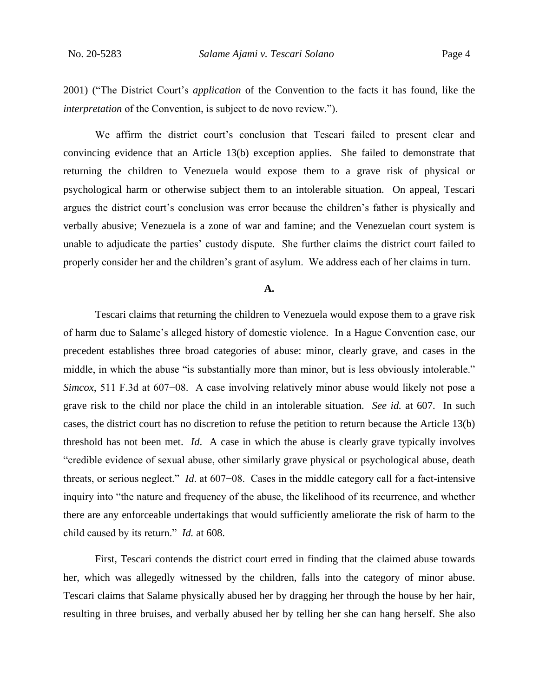2001) ("The District Court's *application* of the Convention to the facts it has found, like the *interpretation* of the Convention, is subject to de novo review.").

We affirm the district court's conclusion that Tescari failed to present clear and convincing evidence that an Article 13(b) exception applies. She failed to demonstrate that returning the children to Venezuela would expose them to a grave risk of physical or psychological harm or otherwise subject them to an intolerable situation. On appeal, Tescari argues the district court's conclusion was error because the children's father is physically and verbally abusive; Venezuela is a zone of war and famine; and the Venezuelan court system is unable to adjudicate the parties' custody dispute. She further claims the district court failed to properly consider her and the children's grant of asylum. We address each of her claims in turn.

#### **A.**

Tescari claims that returning the children to Venezuela would expose them to a grave risk of harm due to Salame's alleged history of domestic violence. In a Hague Convention case, our precedent establishes three broad categories of abuse: minor, clearly grave, and cases in the middle, in which the abuse "is substantially more than minor, but is less obviously intolerable." *Simcox*, 511 F.3d at 607−08. A case involving relatively minor abuse would likely not pose a grave risk to the child nor place the child in an intolerable situation. *See id.* at 607. In such cases, the district court has no discretion to refuse the petition to return because the Article 13(b) threshold has not been met. *Id*. A case in which the abuse is clearly grave typically involves "credible evidence of sexual abuse, other similarly grave physical or psychological abuse, death threats, or serious neglect." *Id*. at 607−08. Cases in the middle category call for a fact-intensive inquiry into "the nature and frequency of the abuse, the likelihood of its recurrence, and whether there are any enforceable undertakings that would sufficiently ameliorate the risk of harm to the child caused by its return." *Id.* at 608.

First, Tescari contends the district court erred in finding that the claimed abuse towards her, which was allegedly witnessed by the children, falls into the category of minor abuse. Tescari claims that Salame physically abused her by dragging her through the house by her hair, resulting in three bruises, and verbally abused her by telling her she can hang herself. She also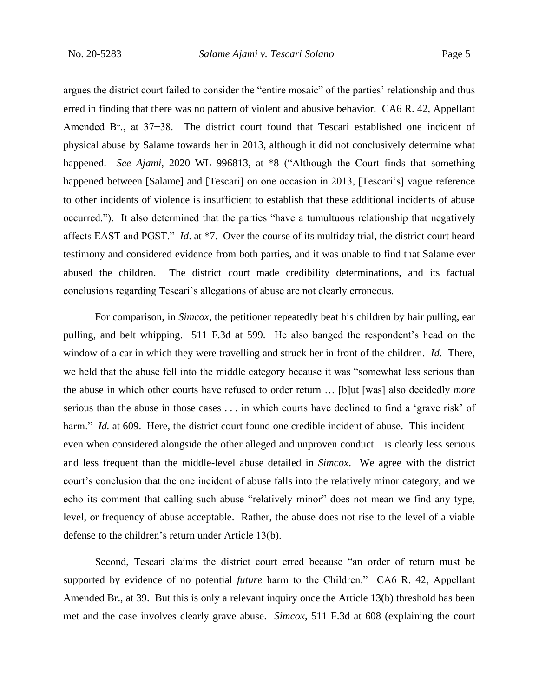argues the district court failed to consider the "entire mosaic" of the parties' relationship and thus erred in finding that there was no pattern of violent and abusive behavior. CA6 R. 42, Appellant Amended Br., at 37−38.The district court found that Tescari established one incident of physical abuse by Salame towards her in 2013, although it did not conclusively determine what happened. *See Ajami*, 2020 WL 996813, at \*8 ("Although the Court finds that something happened between [Salame] and [Tescari] on one occasion in 2013, [Tescari's] vague reference to other incidents of violence is insufficient to establish that these additional incidents of abuse occurred."). It also determined that the parties "have a tumultuous relationship that negatively affects EAST and PGST." *Id*. at \*7. Over the course of its multiday trial, the district court heard testimony and considered evidence from both parties, and it was unable to find that Salame ever abused the children. The district court made credibility determinations, and its factual conclusions regarding Tescari's allegations of abuse are not clearly erroneous.

For comparison, in *Simcox*, the petitioner repeatedly beat his children by hair pulling, ear pulling, and belt whipping. 511 F.3d at 599. He also banged the respondent's head on the window of a car in which they were travelling and struck her in front of the children. *Id.* There, we held that the abuse fell into the middle category because it was "somewhat less serious than the abuse in which other courts have refused to order return … [b]ut [was] also decidedly *more*  serious than the abuse in those cases . . . in which courts have declined to find a 'grave risk' of harm." *Id.* at 609. Here, the district court found one credible incident of abuse. This incident even when considered alongside the other alleged and unproven conduct—is clearly less serious and less frequent than the middle-level abuse detailed in *Simcox*. We agree with the district court's conclusion that the one incident of abuse falls into the relatively minor category, and we echo its comment that calling such abuse "relatively minor" does not mean we find any type, level, or frequency of abuse acceptable. Rather, the abuse does not rise to the level of a viable defense to the children's return under Article 13(b).

Second, Tescari claims the district court erred because "an order of return must be supported by evidence of no potential *future* harm to the Children." CA6 R. 42, Appellant Amended Br., at 39. But this is only a relevant inquiry once the Article 13(b) threshold has been met and the case involves clearly grave abuse. *Simcox*, 511 F.3d at 608 (explaining the court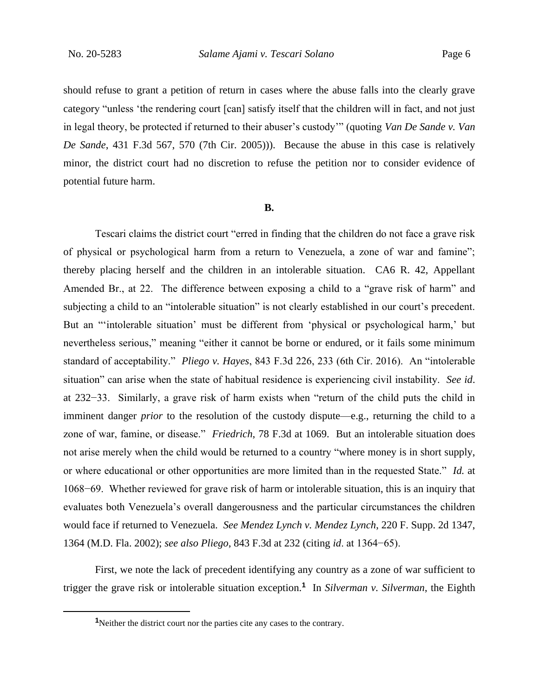should refuse to grant a petition of return in cases where the abuse falls into the clearly grave category "unless 'the rendering court [can] satisfy itself that the children will in fact, and not just in legal theory, be protected if returned to their abuser's custody'" (quoting *Van De Sande v. Van De Sande*, 431 F.3d 567, 570 (7th Cir. 2005))). Because the abuse in this case is relatively minor, the district court had no discretion to refuse the petition nor to consider evidence of potential future harm.

#### **B.**

Tescari claims the district court "erred in finding that the children do not face a grave risk of physical or psychological harm from a return to Venezuela, a zone of war and famine"; thereby placing herself and the children in an intolerable situation. CA6 R. 42, Appellant Amended Br., at 22. The difference between exposing a child to a "grave risk of harm" and subjecting a child to an "intolerable situation" is not clearly established in our court's precedent. But an "'intolerable situation' must be different from 'physical or psychological harm,' but nevertheless serious," meaning "either it cannot be borne or endured, or it fails some minimum standard of acceptability." *Pliego v. Hayes*, 843 F.3d 226, 233 (6th Cir. 2016). An "intolerable situation" can arise when the state of habitual residence is experiencing civil instability. *See id*. at 232−33. Similarly, a grave risk of harm exists when "return of the child puts the child in imminent danger *prior* to the resolution of the custody dispute—e.g., returning the child to a zone of war, famine, or disease." *Friedrich*, 78 F.3d at 1069. But an intolerable situation does not arise merely when the child would be returned to a country "where money is in short supply, or where educational or other opportunities are more limited than in the requested State." *Id.* at 1068−69. Whether reviewed for grave risk of harm or intolerable situation, this is an inquiry that evaluates both Venezuela's overall dangerousness and the particular circumstances the children would face if returned to Venezuela. *See Mendez Lynch v. Mendez Lynch*, 220 F. Supp. 2d 1347, 1364 (M.D. Fla. 2002); *see also Pliego*, 843 F.3d at 232 (citing *id*. at 1364−65).

First, we note the lack of precedent identifying any country as a zone of war sufficient to trigger the grave risk or intolerable situation exception.**<sup>1</sup>** In *Silverman v. Silverman*, the Eighth

**<sup>1</sup>**Neither the district court nor the parties cite any cases to the contrary.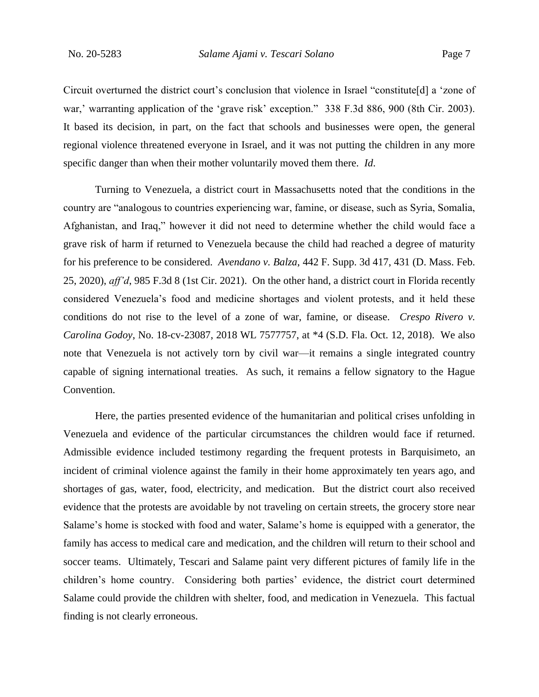Circuit overturned the district court's conclusion that violence in Israel "constitute[d] a 'zone of war,' warranting application of the 'grave risk' exception." 338 F.3d 886, 900 (8th Cir. 2003). It based its decision, in part, on the fact that schools and businesses were open, the general regional violence threatened everyone in Israel, and it was not putting the children in any more specific danger than when their mother voluntarily moved them there. *Id*.

Turning to Venezuela, a district court in Massachusetts noted that the conditions in the country are "analogous to countries experiencing war, famine, or disease, such as Syria, Somalia, Afghanistan, and Iraq," however it did not need to determine whether the child would face a grave risk of harm if returned to Venezuela because the child had reached a degree of maturity for his preference to be considered. *Avendano v. Balza*, 442 F. Supp. 3d 417, 431 (D. Mass. Feb. 25, 2020), *aff'd*, 985 F.3d 8 (1st Cir. 2021). On the other hand, a district court in Florida recently considered Venezuela's food and medicine shortages and violent protests, and it held these conditions do not rise to the level of a zone of war, famine, or disease. *Crespo Rivero v. Carolina Godoy*, No. 18-cv-23087, 2018 WL 7577757, at \*4 (S.D. Fla. Oct. 12, 2018). We also note that Venezuela is not actively torn by civil war—it remains a single integrated country capable of signing international treaties. As such, it remains a fellow signatory to the Hague Convention.

Here, the parties presented evidence of the humanitarian and political crises unfolding in Venezuela and evidence of the particular circumstances the children would face if returned. Admissible evidence included testimony regarding the frequent protests in Barquisimeto, an incident of criminal violence against the family in their home approximately ten years ago, and shortages of gas, water, food, electricity, and medication. But the district court also received evidence that the protests are avoidable by not traveling on certain streets, the grocery store near Salame's home is stocked with food and water, Salame's home is equipped with a generator, the family has access to medical care and medication, and the children will return to their school and soccer teams. Ultimately, Tescari and Salame paint very different pictures of family life in the children's home country. Considering both parties' evidence, the district court determined Salame could provide the children with shelter, food, and medication in Venezuela. This factual finding is not clearly erroneous.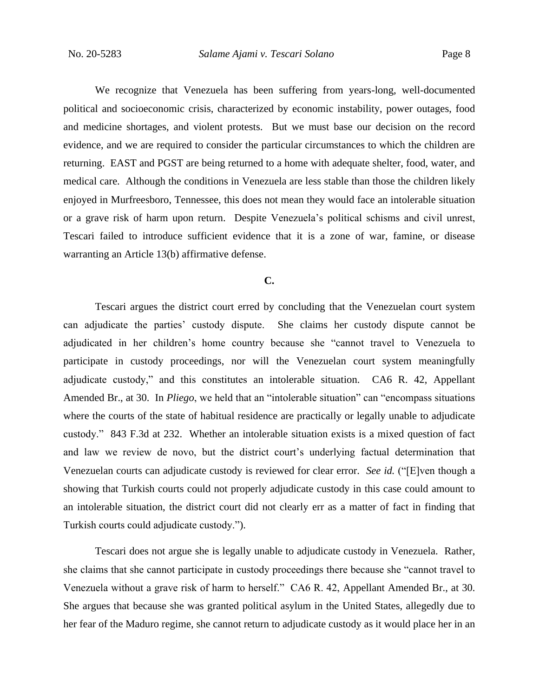We recognize that Venezuela has been suffering from years-long, well-documented political and socioeconomic crisis, characterized by economic instability, power outages, food and medicine shortages, and violent protests. But we must base our decision on the record evidence, and we are required to consider the particular circumstances to which the children are returning. EAST and PGST are being returned to a home with adequate shelter, food, water, and medical care. Although the conditions in Venezuela are less stable than those the children likely enjoyed in Murfreesboro, Tennessee, this does not mean they would face an intolerable situation or a grave risk of harm upon return. Despite Venezuela's political schisms and civil unrest, Tescari failed to introduce sufficient evidence that it is a zone of war, famine, or disease warranting an Article 13(b) affirmative defense.

#### **C.**

Tescari argues the district court erred by concluding that the Venezuelan court system can adjudicate the parties' custody dispute. She claims her custody dispute cannot be adjudicated in her children's home country because she "cannot travel to Venezuela to participate in custody proceedings, nor will the Venezuelan court system meaningfully adjudicate custody," and this constitutes an intolerable situation. CA6 R. 42, Appellant Amended Br., at 30. In *Pliego*, we held that an "intolerable situation" can "encompass situations where the courts of the state of habitual residence are practically or legally unable to adjudicate custody." 843 F.3d at 232. Whether an intolerable situation exists is a mixed question of fact and law we review de novo, but the district court's underlying factual determination that Venezuelan courts can adjudicate custody is reviewed for clear error. *See id.* ("[E]ven though a showing that Turkish courts could not properly adjudicate custody in this case could amount to an intolerable situation, the district court did not clearly err as a matter of fact in finding that Turkish courts could adjudicate custody.").

Tescari does not argue she is legally unable to adjudicate custody in Venezuela. Rather, she claims that she cannot participate in custody proceedings there because she "cannot travel to Venezuela without a grave risk of harm to herself." CA6 R. 42, Appellant Amended Br., at 30. She argues that because she was granted political asylum in the United States, allegedly due to her fear of the Maduro regime, she cannot return to adjudicate custody as it would place her in an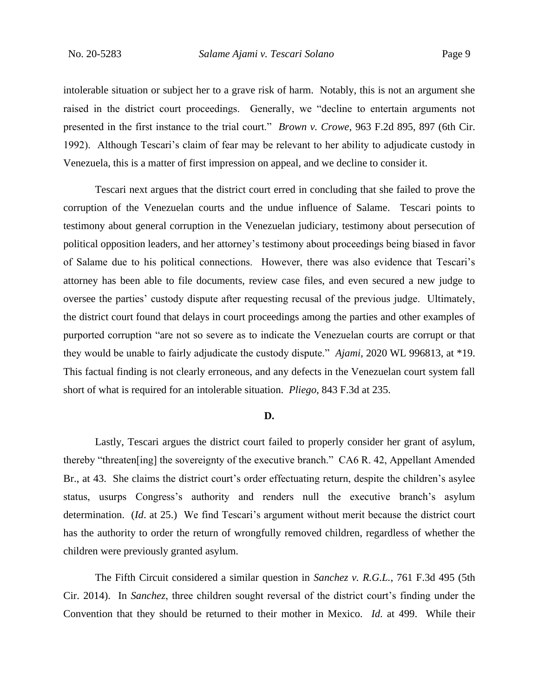intolerable situation or subject her to a grave risk of harm. Notably, this is not an argument she raised in the district court proceedings. Generally, we "decline to entertain arguments not presented in the first instance to the trial court." *Brown v. Crowe*, 963 F.2d 895, 897 (6th Cir. 1992). Although Tescari's claim of fear may be relevant to her ability to adjudicate custody in Venezuela, this is a matter of first impression on appeal, and we decline to consider it.

Tescari next argues that the district court erred in concluding that she failed to prove the corruption of the Venezuelan courts and the undue influence of Salame. Tescari points to testimony about general corruption in the Venezuelan judiciary, testimony about persecution of political opposition leaders, and her attorney's testimony about proceedings being biased in favor of Salame due to his political connections. However, there was also evidence that Tescari's attorney has been able to file documents, review case files, and even secured a new judge to oversee the parties' custody dispute after requesting recusal of the previous judge. Ultimately, the district court found that delays in court proceedings among the parties and other examples of purported corruption "are not so severe as to indicate the Venezuelan courts are corrupt or that they would be unable to fairly adjudicate the custody dispute." *Ajami*, 2020 WL 996813, at \*19. This factual finding is not clearly erroneous, and any defects in the Venezuelan court system fall short of what is required for an intolerable situation. *Pliego*, 843 F.3d at 235.

#### **D.**

Lastly, Tescari argues the district court failed to properly consider her grant of asylum, thereby "threaten[ing] the sovereignty of the executive branch." CA6 R. 42, Appellant Amended Br., at 43. She claims the district court's order effectuating return, despite the children's asylee status, usurps Congress's authority and renders null the executive branch's asylum determination. (*Id*. at 25.)We find Tescari's argument without merit because the district court has the authority to order the return of wrongfully removed children, regardless of whether the children were previously granted asylum.

The Fifth Circuit considered a similar question in *Sanchez v. R.G.L.*, 761 F.3d 495 (5th Cir. 2014). In *Sanchez*, three children sought reversal of the district court's finding under the Convention that they should be returned to their mother in Mexico. *Id*. at 499. While their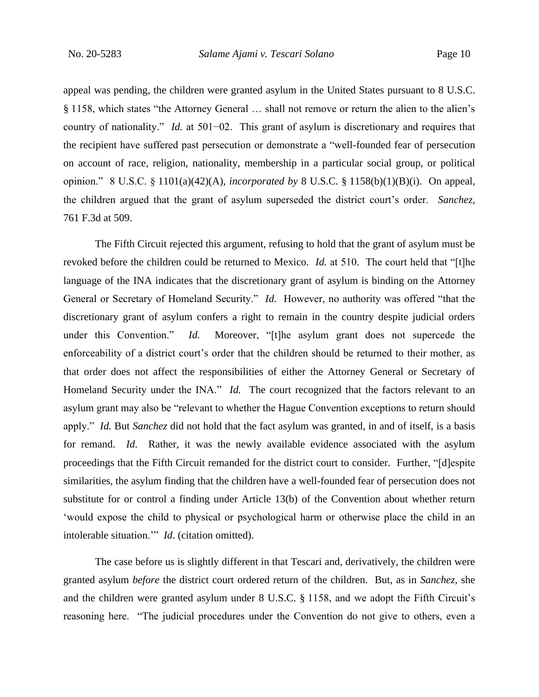appeal was pending, the children were granted asylum in the United States pursuant to 8 U.S.C. § 1158, which states "the Attorney General … shall not remove or return the alien to the alien's country of nationality." *Id.* at 501−02. This grant of asylum is discretionary and requires that the recipient have suffered past persecution or demonstrate a "well-founded fear of persecution on account of race, religion, nationality, membership in a particular social group, or political opinion." 8 U.S.C. § 1101(a)(42)(A), *incorporated by* 8 U.S.C. § 1158(b)(1)(B)(i). On appeal, the children argued that the grant of asylum superseded the district court's order. *Sanchez*, 761 F.3d at 509.

The Fifth Circuit rejected this argument, refusing to hold that the grant of asylum must be revoked before the children could be returned to Mexico. *Id.* at 510. The court held that "[t]he language of the INA indicates that the discretionary grant of asylum is binding on the Attorney General or Secretary of Homeland Security." *Id.* However, no authority was offered "that the discretionary grant of asylum confers a right to remain in the country despite judicial orders under this Convention." *Id.* Moreover, "[t]he asylum grant does not supercede the enforceability of a district court's order that the children should be returned to their mother, as that order does not affect the responsibilities of either the Attorney General or Secretary of Homeland Security under the INA." *Id.* The court recognized that the factors relevant to an asylum grant may also be "relevant to whether the Hague Convention exceptions to return should apply." *Id.* But *Sanchez* did not hold that the fact asylum was granted, in and of itself, is a basis for remand. *Id*. Rather, it was the newly available evidence associated with the asylum proceedings that the Fifth Circuit remanded for the district court to consider.Further, "[d]espite similarities, the asylum finding that the children have a well-founded fear of persecution does not substitute for or control a finding under Article 13(b) of the Convention about whether return 'would expose the child to physical or psychological harm or otherwise place the child in an intolerable situation.'" *Id*. (citation omitted).

The case before us is slightly different in that Tescari and, derivatively, the children were granted asylum *before* the district court ordered return of the children. But, as in *Sanchez*, she and the children were granted asylum under 8 U.S.C. § 1158, and we adopt the Fifth Circuit's reasoning here. "The judicial procedures under the Convention do not give to others, even a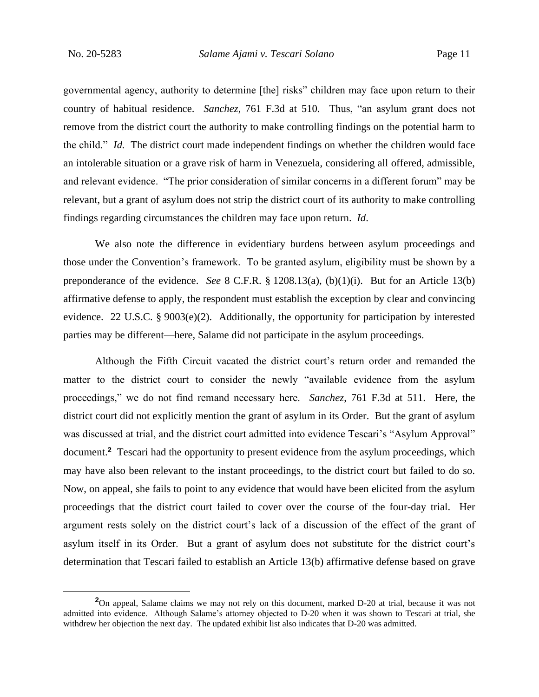governmental agency, authority to determine [the] risks" children may face upon return to their country of habitual residence. *Sanchez*, 761 F.3d at 510*.* Thus, "an asylum grant does not remove from the district court the authority to make controlling findings on the potential harm to the child." *Id.* The district court made independent findings on whether the children would face an intolerable situation or a grave risk of harm in Venezuela, considering all offered, admissible, and relevant evidence. "The prior consideration of similar concerns in a different forum" may be relevant, but a grant of asylum does not strip the district court of its authority to make controlling findings regarding circumstances the children may face upon return. *Id*.

We also note the difference in evidentiary burdens between asylum proceedings and those under the Convention's framework. To be granted asylum, eligibility must be shown by a preponderance of the evidence. *See* 8 C.F.R. § 1208.13(a), (b)(1)(i). But for an Article 13(b) affirmative defense to apply, the respondent must establish the exception by clear and convincing evidence. 22 U.S.C. § 9003(e)(2). Additionally, the opportunity for participation by interested parties may be different—here, Salame did not participate in the asylum proceedings.

Although the Fifth Circuit vacated the district court's return order and remanded the matter to the district court to consider the newly "available evidence from the asylum proceedings," we do not find remand necessary here. *Sanchez*, 761 F.3d at 511. Here, the district court did not explicitly mention the grant of asylum in its Order. But the grant of asylum was discussed at trial, and the district court admitted into evidence Tescari's "Asylum Approval" document.**<sup>2</sup>** Tescari had the opportunity to present evidence from the asylum proceedings, which may have also been relevant to the instant proceedings, to the district court but failed to do so. Now, on appeal, she fails to point to any evidence that would have been elicited from the asylum proceedings that the district court failed to cover over the course of the four-day trial. Her argument rests solely on the district court's lack of a discussion of the effect of the grant of asylum itself in its Order. But a grant of asylum does not substitute for the district court's determination that Tescari failed to establish an Article 13(b) affirmative defense based on grave

**<sup>2</sup>**On appeal, Salame claims we may not rely on this document, marked D-20 at trial, because it was not admitted into evidence. Although Salame's attorney objected to D-20 when it was shown to Tescari at trial, she withdrew her objection the next day. The updated exhibit list also indicates that D-20 was admitted.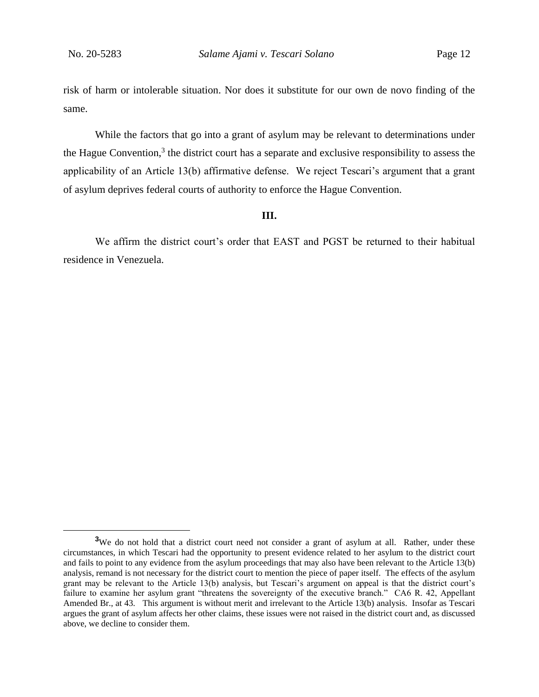risk of harm or intolerable situation. Nor does it substitute for our own de novo finding of the same.

While the factors that go into a grant of asylum may be relevant to determinations under the Hague Convention,<sup>3</sup> the district court has a separate and exclusive responsibility to assess the applicability of an Article 13(b) affirmative defense. We reject Tescari's argument that a grant of asylum deprives federal courts of authority to enforce the Hague Convention.

#### **III.**

We affirm the district court's order that EAST and PGST be returned to their habitual residence in Venezuela.

<sup>&</sup>lt;sup>3</sup>We do not hold that a district court need not consider a grant of asylum at all. Rather, under these circumstances, in which Tescari had the opportunity to present evidence related to her asylum to the district court and fails to point to any evidence from the asylum proceedings that may also have been relevant to the Article 13(b) analysis, remand is not necessary for the district court to mention the piece of paper itself. The effects of the asylum grant may be relevant to the Article 13(b) analysis, but Tescari's argument on appeal is that the district court's failure to examine her asylum grant "threatens the sovereignty of the executive branch." CA6 R. 42, Appellant Amended Br., at 43. This argument is without merit and irrelevant to the Article 13(b) analysis. Insofar as Tescari argues the grant of asylum affects her other claims, these issues were not raised in the district court and, as discussed above, we decline to consider them.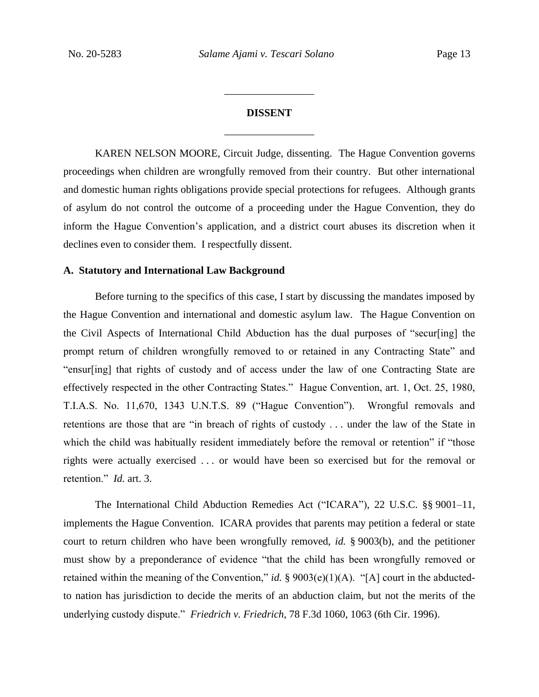# **DISSENT** \_\_\_\_\_\_\_\_\_\_\_\_\_\_\_\_\_

\_\_\_\_\_\_\_\_\_\_\_\_\_\_\_\_\_

KAREN NELSON MOORE, Circuit Judge, dissenting. The Hague Convention governs proceedings when children are wrongfully removed from their country. But other international and domestic human rights obligations provide special protections for refugees. Although grants of asylum do not control the outcome of a proceeding under the Hague Convention, they do inform the Hague Convention's application, and a district court abuses its discretion when it declines even to consider them. I respectfully dissent.

# **A. Statutory and International Law Background**

Before turning to the specifics of this case, I start by discussing the mandates imposed by the Hague Convention and international and domestic asylum law. The Hague Convention on the Civil Aspects of International Child Abduction has the dual purposes of "secur[ing] the prompt return of children wrongfully removed to or retained in any Contracting State" and "ensur[ing] that rights of custody and of access under the law of one Contracting State are effectively respected in the other Contracting States." Hague Convention, art. 1, Oct. 25, 1980, T.I.A.S. No. 11,670, 1343 U.N.T.S. 89 ("Hague Convention"). Wrongful removals and retentions are those that are "in breach of rights of custody . . . under the law of the State in which the child was habitually resident immediately before the removal or retention" if "those rights were actually exercised . . . or would have been so exercised but for the removal or retention." *Id.* art. 3.

The International Child Abduction Remedies Act ("ICARA"), 22 U.S.C. §§ 9001–11, implements the Hague Convention. ICARA provides that parents may petition a federal or state court to return children who have been wrongfully removed, *id.* § 9003(b), and the petitioner must show by a preponderance of evidence "that the child has been wrongfully removed or retained within the meaning of the Convention," *id.* § 9003(e)(1)(A). "[A] court in the abductedto nation has jurisdiction to decide the merits of an abduction claim, but not the merits of the underlying custody dispute." *Friedrich v. Friedrich*, 78 F.3d 1060, 1063 (6th Cir. 1996).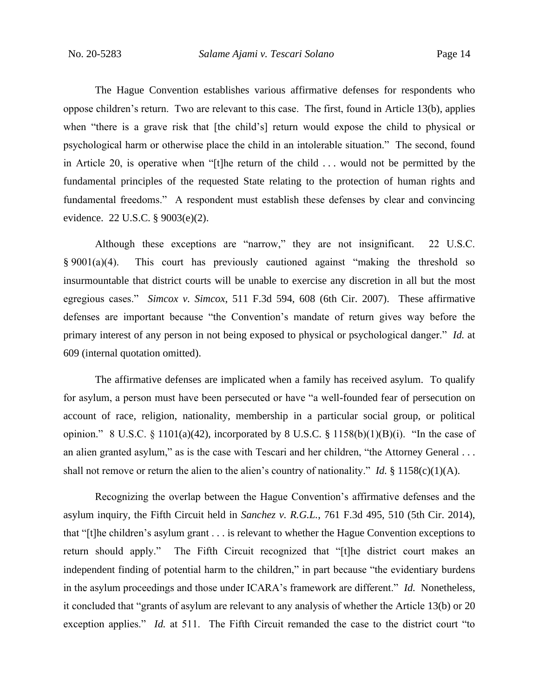The Hague Convention establishes various affirmative defenses for respondents who oppose children's return. Two are relevant to this case. The first, found in Article 13(b), applies when "there is a grave risk that [the child's] return would expose the child to physical or psychological harm or otherwise place the child in an intolerable situation." The second, found in Article 20, is operative when "[t]he return of the child . . . would not be permitted by the fundamental principles of the requested State relating to the protection of human rights and fundamental freedoms." A respondent must establish these defenses by clear and convincing evidence. 22 U.S.C. § 9003(e)(2).

Although these exceptions are "narrow," they are not insignificant. 22 U.S.C. § 9001(a)(4). This court has previously cautioned against "making the threshold so insurmountable that district courts will be unable to exercise any discretion in all but the most egregious cases." *Simcox v. Simcox*, 511 F.3d 594, 608 (6th Cir. 2007). These affirmative defenses are important because "the Convention's mandate of return gives way before the primary interest of any person in not being exposed to physical or psychological danger." *Id.* at 609 (internal quotation omitted).

The affirmative defenses are implicated when a family has received asylum. To qualify for asylum, a person must have been persecuted or have "a well-founded fear of persecution on account of race, religion, nationality, membership in a particular social group, or political opinion." 8 U.S.C. § 1101(a)(42), incorporated by 8 U.S.C. § 1158(b)(1)(B)(i). "In the case of an alien granted asylum," as is the case with Tescari and her children, "the Attorney General . . . shall not remove or return the alien to the alien's country of nationality." *Id.* § 1158(c)(1)(A).

Recognizing the overlap between the Hague Convention's affirmative defenses and the asylum inquiry, the Fifth Circuit held in *Sanchez v. R.G.L.*, 761 F.3d 495, 510 (5th Cir. 2014), that "[t]he children's asylum grant . . . is relevant to whether the Hague Convention exceptions to return should apply." The Fifth Circuit recognized that "[t]he district court makes an independent finding of potential harm to the children," in part because "the evidentiary burdens in the asylum proceedings and those under ICARA's framework are different." *Id.* Nonetheless, it concluded that "grants of asylum are relevant to any analysis of whether the Article 13(b) or 20 exception applies." *Id.* at 511. The Fifth Circuit remanded the case to the district court "to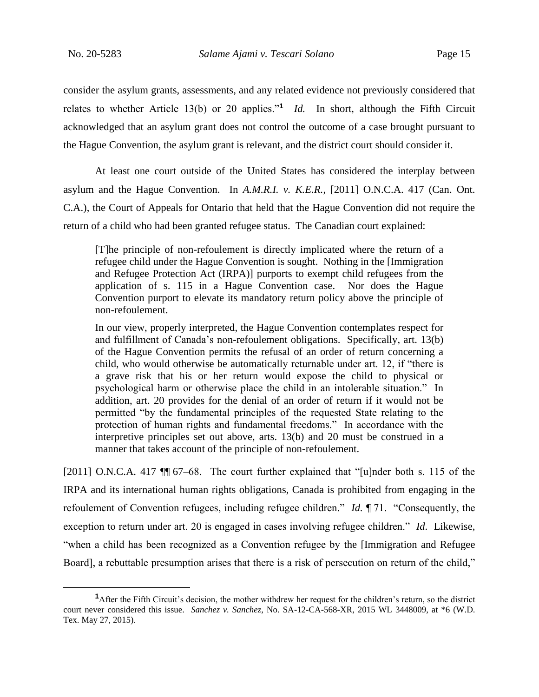consider the asylum grants, assessments, and any related evidence not previously considered that relates to whether Article 13(b) or 20 applies."**<sup>1</sup>** *Id.* In short, although the Fifth Circuit acknowledged that an asylum grant does not control the outcome of a case brought pursuant to the Hague Convention, the asylum grant is relevant, and the district court should consider it.

At least one court outside of the United States has considered the interplay between asylum and the Hague Convention. In *A.M.R.I. v. K.E.R.*, [2011] O.N.C.A. 417 (Can. Ont. C.A.), the Court of Appeals for Ontario that held that the Hague Convention did not require the return of a child who had been granted refugee status. The Canadian court explained:

[T]he principle of non-refoulement is directly implicated where the return of a refugee child under the Hague Convention is sought. Nothing in the [Immigration and Refugee Protection Act (IRPA)] purports to exempt child refugees from the application of s. 115 in a Hague Convention case. Nor does the Hague Convention purport to elevate its mandatory return policy above the principle of non-refoulement.

In our view, properly interpreted, the Hague Convention contemplates respect for and fulfillment of Canada's non-refoulement obligations. Specifically, art. 13(b) of the Hague Convention permits the refusal of an order of return concerning a child, who would otherwise be automatically returnable under art. 12, if "there is a grave risk that his or her return would expose the child to physical or psychological harm or otherwise place the child in an intolerable situation." In addition, art. 20 provides for the denial of an order of return if it would not be permitted "by the fundamental principles of the requested State relating to the protection of human rights and fundamental freedoms." In accordance with the interpretive principles set out above, arts. 13(b) and 20 must be construed in a manner that takes account of the principle of non-refoulement.

[2011] O.N.C.A. 417  $\P$  67–68. The court further explained that "[u]nder both s. 115 of the IRPA and its international human rights obligations, Canada is prohibited from engaging in the refoulement of Convention refugees, including refugee children." *Id.* ¶ 71. "Consequently, the exception to return under art. 20 is engaged in cases involving refugee children." *Id*. Likewise, "when a child has been recognized as a Convention refugee by the [Immigration and Refugee Board], a rebuttable presumption arises that there is a risk of persecution on return of the child,"

**<sup>1</sup>**After the Fifth Circuit's decision, the mother withdrew her request for the children's return, so the district court never considered this issue. *Sanchez v. Sanchez*, No. SA-12-CA-568-XR, 2015 WL 3448009, at \*6 (W.D. Tex. May 27, 2015).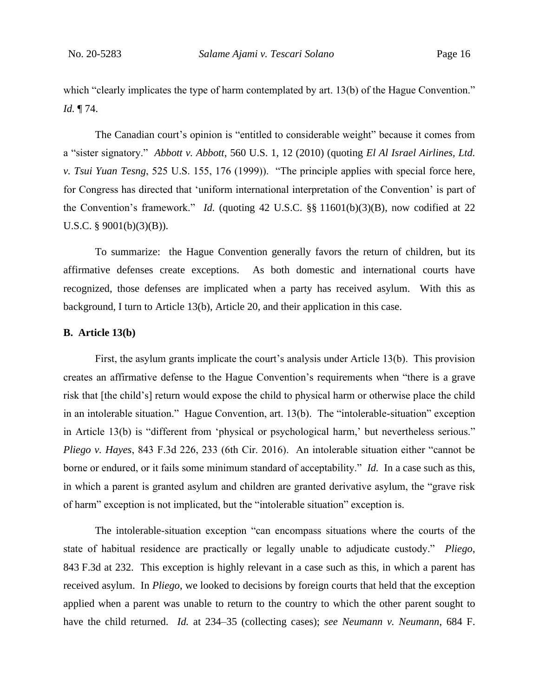which "clearly implicates the type of harm contemplated by art. 13(b) of the Hague Convention." *Id.* ¶ 74.

The Canadian court's opinion is "entitled to considerable weight" because it comes from a "sister signatory." *Abbott v. Abbott*, 560 U.S. 1, 12 (2010) (quoting *El Al Israel Airlines, Ltd. v. Tsui Yuan Tesng*, 525 U.S. 155, 176 (1999)). "The principle applies with special force here, for Congress has directed that 'uniform international interpretation of the Convention' is part of the Convention's framework." *Id.* (quoting 42 U.S.C. §§ 11601(b)(3)(B), now codified at 22 U.S.C. § 9001(b)(3)(B)).

To summarize: the Hague Convention generally favors the return of children, but its affirmative defenses create exceptions. As both domestic and international courts have recognized, those defenses are implicated when a party has received asylum. With this as background, I turn to Article 13(b), Article 20, and their application in this case.

### **B. Article 13(b)**

First, the asylum grants implicate the court's analysis under Article 13(b). This provision creates an affirmative defense to the Hague Convention's requirements when "there is a grave risk that [the child's] return would expose the child to physical harm or otherwise place the child in an intolerable situation." Hague Convention, art. 13(b). The "intolerable-situation" exception in Article 13(b) is "different from 'physical or psychological harm,' but nevertheless serious." *Pliego v. Hayes*, 843 F.3d 226, 233 (6th Cir. 2016). An intolerable situation either "cannot be borne or endured, or it fails some minimum standard of acceptability." *Id.* In a case such as this, in which a parent is granted asylum and children are granted derivative asylum, the "grave risk of harm" exception is not implicated, but the "intolerable situation" exception is.

The intolerable-situation exception "can encompass situations where the courts of the state of habitual residence are practically or legally unable to adjudicate custody." *Pliego*, 843 F.3d at 232. This exception is highly relevant in a case such as this, in which a parent has received asylum. In *Pliego*, we looked to decisions by foreign courts that held that the exception applied when a parent was unable to return to the country to which the other parent sought to have the child returned. *Id.* at 234–35 (collecting cases); *see Neumann v. Neumann*, 684 F.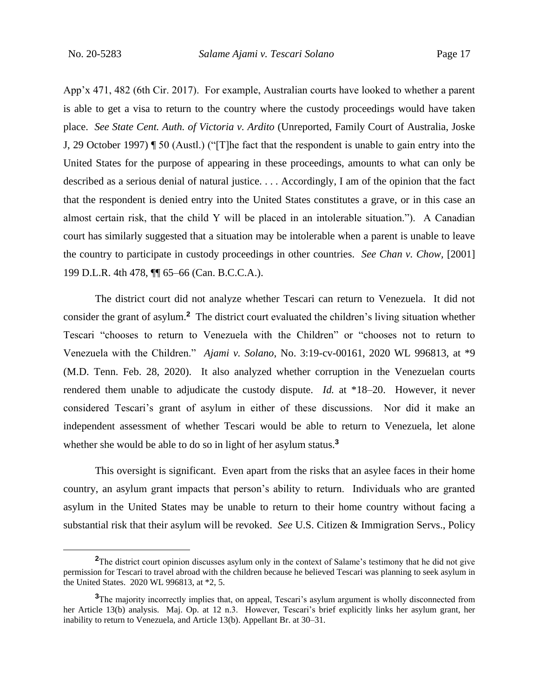App'x 471, 482 (6th Cir. 2017). For example, Australian courts have looked to whether a parent is able to get a visa to return to the country where the custody proceedings would have taken place. *See State Cent. Auth. of Victoria v. Ardito* (Unreported, Family Court of Australia, Joske J, 29 October 1997) ¶ 50 (Austl.) ("[T]he fact that the respondent is unable to gain entry into the United States for the purpose of appearing in these proceedings, amounts to what can only be described as a serious denial of natural justice. . . . Accordingly, I am of the opinion that the fact that the respondent is denied entry into the United States constitutes a grave, or in this case an almost certain risk, that the child Y will be placed in an intolerable situation."). A Canadian court has similarly suggested that a situation may be intolerable when a parent is unable to leave the country to participate in custody proceedings in other countries. *See Chan v. Chow,* [2001] 199 D.L.R. 4th 478, ¶¶ 65–66 (Can. B.C.C.A.).

The district court did not analyze whether Tescari can return to Venezuela. It did not consider the grant of asylum.**<sup>2</sup>** The district court evaluated the children's living situation whether Tescari "chooses to return to Venezuela with the Children" or "chooses not to return to Venezuela with the Children." *Ajami v. Solano*, No. 3:19-cv-00161, 2020 WL 996813, at \*9 (M.D. Tenn. Feb. 28, 2020). It also analyzed whether corruption in the Venezuelan courts rendered them unable to adjudicate the custody dispute. *Id.* at \*18–20. However, it never considered Tescari's grant of asylum in either of these discussions. Nor did it make an independent assessment of whether Tescari would be able to return to Venezuela, let alone whether she would be able to do so in light of her asylum status.**<sup>3</sup>**

This oversight is significant. Even apart from the risks that an asylee faces in their home country, an asylum grant impacts that person's ability to return. Individuals who are granted asylum in the United States may be unable to return to their home country without facing a substantial risk that their asylum will be revoked. *See* U.S. Citizen & Immigration Servs., Policy

<sup>&</sup>lt;sup>2</sup>The district court opinion discusses asylum only in the context of Salame's testimony that he did not give permission for Tescari to travel abroad with the children because he believed Tescari was planning to seek asylum in the United States. 2020 WL 996813, at \*2, 5.

**<sup>3</sup>**The majority incorrectly implies that, on appeal, Tescari's asylum argument is wholly disconnected from her Article 13(b) analysis. Maj. Op. at 12 n.3. However, Tescari's brief explicitly links her asylum grant, her inability to return to Venezuela, and Article 13(b). Appellant Br. at 30–31.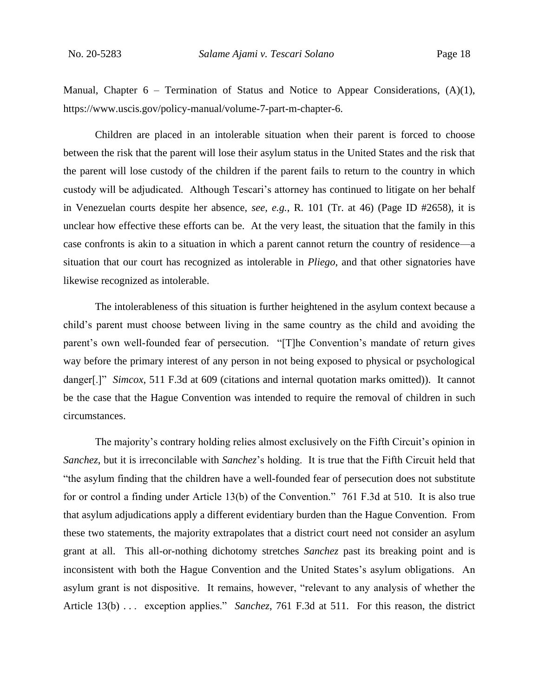Manual, Chapter  $6$  – Termination of Status and Notice to Appear Considerations,  $(A)(1)$ , https://www.uscis.gov/policy-manual/volume-7-part-m-chapter-6.

Children are placed in an intolerable situation when their parent is forced to choose between the risk that the parent will lose their asylum status in the United States and the risk that the parent will lose custody of the children if the parent fails to return to the country in which custody will be adjudicated. Although Tescari's attorney has continued to litigate on her behalf in Venezuelan courts despite her absence, *see, e.g.*, R. 101 (Tr. at 46) (Page ID #2658), it is unclear how effective these efforts can be. At the very least, the situation that the family in this case confronts is akin to a situation in which a parent cannot return the country of residence—a situation that our court has recognized as intolerable in *Pliego*, and that other signatories have likewise recognized as intolerable.

The intolerableness of this situation is further heightened in the asylum context because a child's parent must choose between living in the same country as the child and avoiding the parent's own well-founded fear of persecution. "[T]he Convention's mandate of return gives way before the primary interest of any person in not being exposed to physical or psychological danger[.]" *Simcox*, 511 F.3d at 609 (citations and internal quotation marks omitted)). It cannot be the case that the Hague Convention was intended to require the removal of children in such circumstances.

The majority's contrary holding relies almost exclusively on the Fifth Circuit's opinion in *Sanchez*, but it is irreconcilable with *Sanchez*'s holding. It is true that the Fifth Circuit held that "the asylum finding that the children have a well-founded fear of persecution does not substitute for or control a finding under Article 13(b) of the Convention." 761 F.3d at 510. It is also true that asylum adjudications apply a different evidentiary burden than the Hague Convention. From these two statements, the majority extrapolates that a district court need not consider an asylum grant at all. This all-or-nothing dichotomy stretches *Sanchez* past its breaking point and is inconsistent with both the Hague Convention and the United States's asylum obligations. An asylum grant is not dispositive. It remains, however, "relevant to any analysis of whether the Article 13(b) . . . exception applies." *Sanchez*, 761 F.3d at 511. For this reason, the district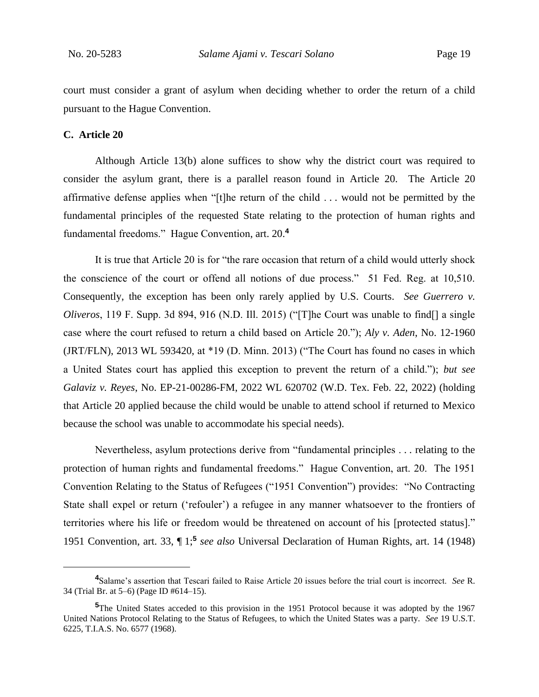court must consider a grant of asylum when deciding whether to order the return of a child pursuant to the Hague Convention.

#### **C. Article 20**

Although Article 13(b) alone suffices to show why the district court was required to consider the asylum grant, there is a parallel reason found in Article 20. The Article 20 affirmative defense applies when "[t]he return of the child . . . would not be permitted by the fundamental principles of the requested State relating to the protection of human rights and fundamental freedoms." Hague Convention, art. 20.**<sup>4</sup>**

It is true that Article 20 is for "the rare occasion that return of a child would utterly shock the conscience of the court or offend all notions of due process." 51 Fed. Reg. at 10,510. Consequently, the exception has been only rarely applied by U.S. Courts. *See Guerrero v. Oliveros*, 119 F. Supp. 3d 894, 916 (N.D. Ill. 2015) ("[T]he Court was unable to find[] a single case where the court refused to return a child based on Article 20."); *Aly v. Aden*, No. 12-1960 (JRT/FLN), 2013 WL 593420, at \*19 (D. Minn. 2013) ("The Court has found no cases in which a United States court has applied this exception to prevent the return of a child."); *but see Galaviz v. Reyes*, No. EP-21-00286-FM, 2022 WL 620702 (W.D. Tex. Feb. 22, 2022) (holding that Article 20 applied because the child would be unable to attend school if returned to Mexico because the school was unable to accommodate his special needs).

Nevertheless, asylum protections derive from "fundamental principles . . . relating to the protection of human rights and fundamental freedoms." Hague Convention, art. 20. The 1951 Convention Relating to the Status of Refugees ("1951 Convention") provides: "No Contracting State shall expel or return ('refouler') a refugee in any manner whatsoever to the frontiers of territories where his life or freedom would be threatened on account of his [protected status]." 1951 Convention, art. 33, ¶ 1;**<sup>5</sup>** *see also* Universal Declaration of Human Rights, art. 14 (1948)

**<sup>4</sup>**Salame's assertion that Tescari failed to Raise Article 20 issues before the trial court is incorrect. *See* R. 34 (Trial Br. at 5–6) (Page ID #614–15).

**<sup>5</sup>**The United States acceded to this provision in the 1951 Protocol because it was adopted by the 1967 United Nations Protocol Relating to the Status of Refugees, to which the United States was a party. *See* 19 U.S.T. 6225, T.I.A.S. No. 6577 (1968).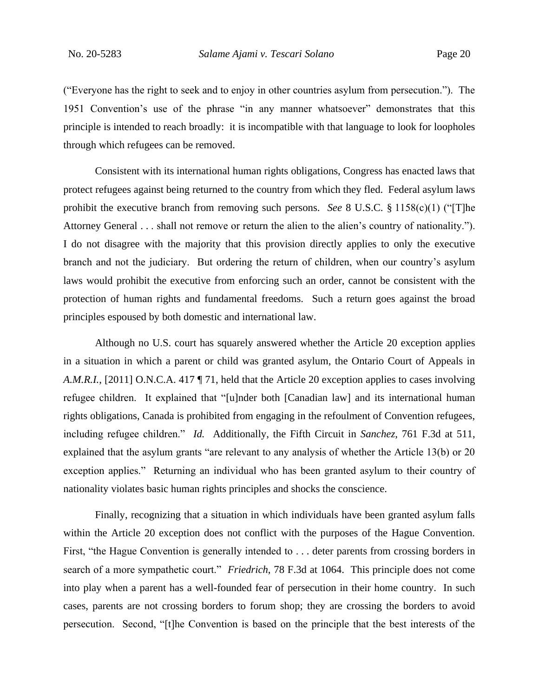("Everyone has the right to seek and to enjoy in other countries asylum from persecution."). The 1951 Convention's use of the phrase "in any manner whatsoever" demonstrates that this principle is intended to reach broadly: it is incompatible with that language to look for loopholes through which refugees can be removed.

Consistent with its international human rights obligations, Congress has enacted laws that protect refugees against being returned to the country from which they fled. Federal asylum laws prohibit the executive branch from removing such persons. *See* 8 U.S.C. § 1158(c)(1) ("[T]he Attorney General . . . shall not remove or return the alien to the alien's country of nationality."). I do not disagree with the majority that this provision directly applies to only the executive branch and not the judiciary. But ordering the return of children, when our country's asylum laws would prohibit the executive from enforcing such an order, cannot be consistent with the protection of human rights and fundamental freedoms. Such a return goes against the broad principles espoused by both domestic and international law.

Although no U.S. court has squarely answered whether the Article 20 exception applies in a situation in which a parent or child was granted asylum, the Ontario Court of Appeals in *A.M.R.I.*, [2011] O.N.C.A. 417 ¶ 71, held that the Article 20 exception applies to cases involving refugee children. It explained that "[u]nder both [Canadian law] and its international human rights obligations, Canada is prohibited from engaging in the refoulment of Convention refugees, including refugee children." *Id.* Additionally, the Fifth Circuit in *Sanchez*, 761 F.3d at 511, explained that the asylum grants "are relevant to any analysis of whether the Article 13(b) or 20 exception applies." Returning an individual who has been granted asylum to their country of nationality violates basic human rights principles and shocks the conscience.

Finally, recognizing that a situation in which individuals have been granted asylum falls within the Article 20 exception does not conflict with the purposes of the Hague Convention. First, "the Hague Convention is generally intended to . . . deter parents from crossing borders in search of a more sympathetic court." *Friedrich*, 78 F.3d at 1064. This principle does not come into play when a parent has a well-founded fear of persecution in their home country. In such cases, parents are not crossing borders to forum shop; they are crossing the borders to avoid persecution. Second, "[t]he Convention is based on the principle that the best interests of the